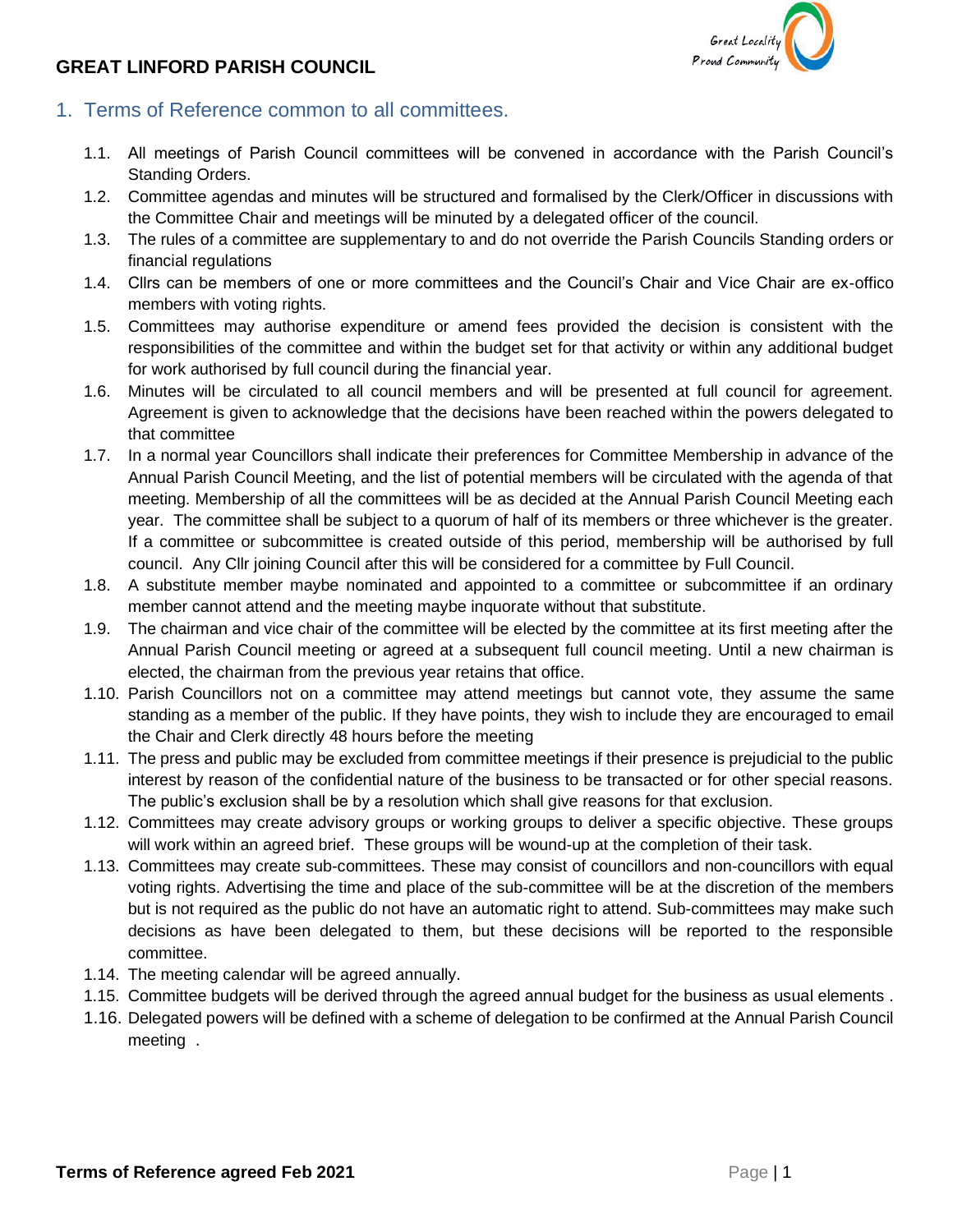## **GREAT LINFORD PARISH COUNCIL**



- 1. Terms of Reference common to all committees.
	- 1.1. All meetings of Parish Council committees will be convened in accordance with the Parish Council's Standing Orders.
	- 1.2. Committee agendas and minutes will be structured and formalised by the Clerk/Officer in discussions with the Committee Chair and meetings will be minuted by a delegated officer of the council.
	- 1.3. The rules of a committee are supplementary to and do not override the Parish Councils Standing orders or financial regulations
	- 1.4. Cllrs can be members of one or more committees and the Council's Chair and Vice Chair are ex-offico members with voting rights.
	- 1.5. Committees may authorise expenditure or amend fees provided the decision is consistent with the responsibilities of the committee and within the budget set for that activity or within any additional budget for work authorised by full council during the financial year.
	- 1.6. Minutes will be circulated to all council members and will be presented at full council for agreement. Agreement is given to acknowledge that the decisions have been reached within the powers delegated to that committee
	- 1.7. In a normal year Councillors shall indicate their preferences for Committee Membership in advance of the Annual Parish Council Meeting, and the list of potential members will be circulated with the agenda of that meeting. Membership of all the committees will be as decided at the Annual Parish Council Meeting each year. The committee shall be subject to a quorum of half of its members or three whichever is the greater. If a committee or subcommittee is created outside of this period, membership will be authorised by full council. Any Cllr joining Council after this will be considered for a committee by Full Council.
	- 1.8. A substitute member maybe nominated and appointed to a committee or subcommittee if an ordinary member cannot attend and the meeting maybe inquorate without that substitute.
	- 1.9. The chairman and vice chair of the committee will be elected by the committee at its first meeting after the Annual Parish Council meeting or agreed at a subsequent full council meeting. Until a new chairman is elected, the chairman from the previous year retains that office.
	- 1.10. Parish Councillors not on a committee may attend meetings but cannot vote, they assume the same standing as a member of the public. If they have points, they wish to include they are encouraged to email the Chair and Clerk directly 48 hours before the meeting
	- 1.11. The press and public may be excluded from committee meetings if their presence is prejudicial to the public interest by reason of the confidential nature of the business to be transacted or for other special reasons. The public's exclusion shall be by a resolution which shall give reasons for that exclusion.
	- 1.12. Committees may create advisory groups or working groups to deliver a specific objective. These groups will work within an agreed brief. These groups will be wound-up at the completion of their task.
	- 1.13. Committees may create sub-committees. These may consist of councillors and non-councillors with equal voting rights. Advertising the time and place of the sub-committee will be at the discretion of the members but is not required as the public do not have an automatic right to attend. Sub-committees may make such decisions as have been delegated to them, but these decisions will be reported to the responsible committee.
	- 1.14. The meeting calendar will be agreed annually.
	- 1.15. Committee budgets will be derived through the agreed annual budget for the business as usual elements .
	- 1.16. Delegated powers will be defined with a scheme of delegation to be confirmed at the Annual Parish Council meeting .